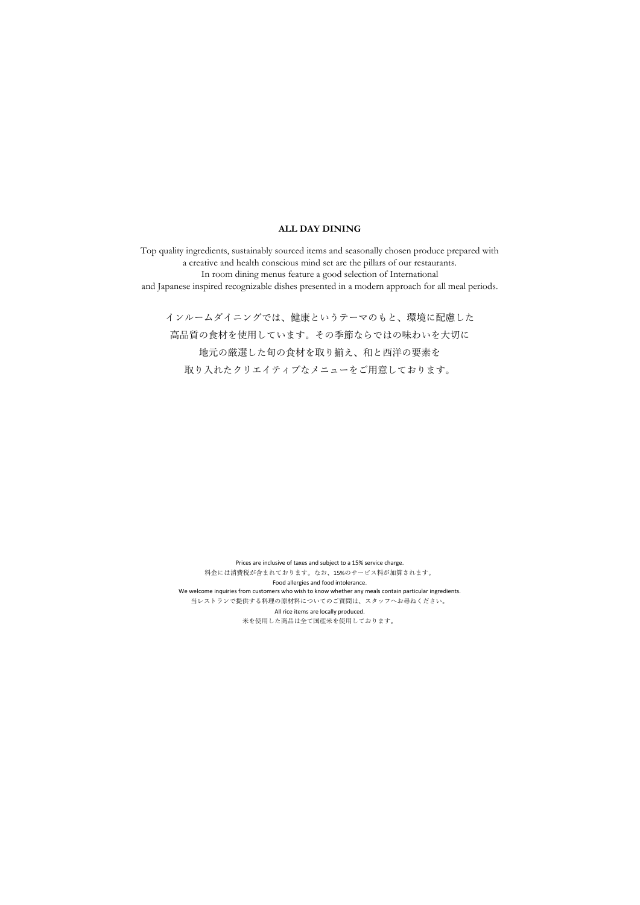### **ALL DAY DINING**

Top quality ingredients, sustainably sourced items and seasonally chosen produce prepared with a creative and health conscious mind set are the pillars of our restaurants. In room dining menus feature a good selection of International and Japanese inspired recognizable dishes presented in a modern approach for all meal periods.

インルームダイニングでは、健康というテーマのもと、環境に配慮した 高品質の食材を使用しています。その季節ならではの味わいを大切に 地元の厳選した旬の⾷材を取り揃え、和と⻄洋の要素を 取り入れたクリエイティブなメニューをご用意しております。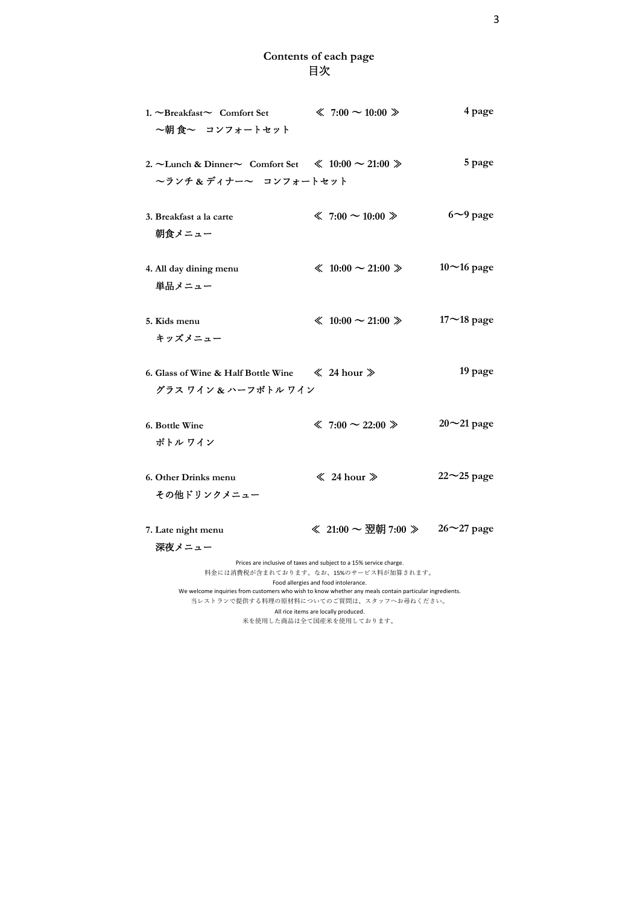## **Contents of each page**  目次

| 1. ~Breakfast~ Comfort Set<br>~朝 食~ コンフォートセット                                                          | $\ll 7:00 \sim 10:00 \gg$                                                                                                                                                                                                                                           | 4 page             |
|--------------------------------------------------------------------------------------------------------|---------------------------------------------------------------------------------------------------------------------------------------------------------------------------------------------------------------------------------------------------------------------|--------------------|
| 2. $\sim$ Lunch & Dinner $\sim$ Comfort Set $\ll 10:00 \sim 21:00 \gg$<br>~ランチ&ディナー~ コンフォートセット         |                                                                                                                                                                                                                                                                     | 5 page             |
| 3. Breakfast a la carte<br>朝食メニュー                                                                      | $\ll 7:00 \sim 10:00 \gg$                                                                                                                                                                                                                                           | $6\sim$ 9 page     |
| 4. All day dining menu<br>単品メニュー                                                                       | $\leq 10:00 \sim 21:00 \geq$                                                                                                                                                                                                                                        | $10$ ~16 page      |
| 5. Kids menu<br>キッズメニュー                                                                                | $\leq 10:00 \sim 21:00 \geq$                                                                                                                                                                                                                                        | $17 - 18$ page     |
| 6. Glass of Wine & Half Bottle Wine $\ll$ 24 hour $\gg$<br>グラス ワイン & ハーフボトル ワイン                        |                                                                                                                                                                                                                                                                     | 19 page            |
| 6. Bottle Wine<br>ボトル ワイン                                                                              | $\ll 7:00 \sim 22:00 \gg$                                                                                                                                                                                                                                           | $20^{\sim}21$ page |
| 6. Other Drinks menu<br>その他ドリンクメニュー                                                                    | $\ll 24$ hour $\gg$                                                                                                                                                                                                                                                 | $22^{\sim}25$ page |
| 7. Late night menu<br>深夜メニュー                                                                           | ≪ 21:00 ~ 翌朝 7:00 » 26~27 page                                                                                                                                                                                                                                      |                    |
| We welcome inquiries from customers who wish to know whether any meals contain particular ingredients. | Prices are inclusive of taxes and subject to a 15% service charge.<br>料金には消費税が含まれております。なお、15%のサービス料が加算されます。<br>Food allergies and food intolerance.<br>当レストランで提供する料理の原材料についてのご質問は、スタッフへお尋ねください。<br>All rice items are locally produced.<br>米を使用した商品は全て国産米を使用しております。 |                    |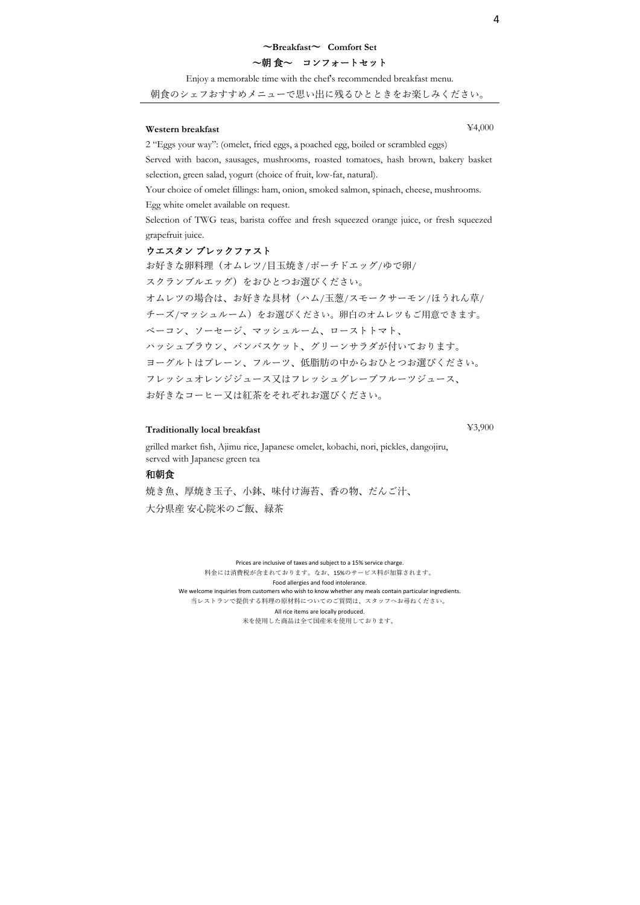### 〜**Breakfast**〜 **Comfort Set**

## 〜朝 ⾷〜 コンフォートセット

Enjoy a memorable time with the chef's recommended breakfast menu.

朝⾷のシェフおすすめメニューで思い出に残るひとときをお楽しみください。

### **Western breakfast** ¥4,000

2 "Eggs your way": (omelet, fried eggs, a poached egg, boiled or scrambled eggs)

Served with bacon, sausages, mushrooms, roasted tomatoes, hash brown, bakery basket selection, green salad, yogurt (choice of fruit, low-fat, natural).

Your choice of omelet fillings: ham, onion, smoked salmon, spinach, cheese, mushrooms. Egg white omelet available on request.

Selection of TWG teas, barista coffee and fresh squeezed orange juice, or fresh squeezed grapefruit juice.

#### ウエスタン ブレックファスト

お好きな卵料理(オムレツ/目玉焼き/ポーチドエッグ/ゆで卵/ スクランブルエッグ)をおひとつお選びください。 オムレツの場合は、お好きな具材(ハム/⽟葱/スモークサーモン/ほうれん草/ チーズ/マッシュルーム)をお選びください。卵白のオムレツもご用意できます。 ベーコン、ソーセージ、マッシュルーム、ローストトマト、 ハッシュブラウン、パンバスケット、グリーンサラダが付いております。 ヨーグルトはプレーン、フルーツ、低脂肪の中からおひとつお選びください。 フレッシュオレンジジュース⼜はフレッシュグレープフルーツジュース、 お好きなコーヒー⼜は紅茶をそれぞれお選びください。

## **Traditionally local breakfast** ¥3,900

grilled market fish, Ajimu rice, Japanese omelet, kobachi, nori, pickles, dangojiru, served with Japanese green tea

#### 和朝食

焼き魚、厚焼き玉子、小鉢、味付け海苔、香の物、だんご汁、 大分県産 安心院米のご飯、緑茶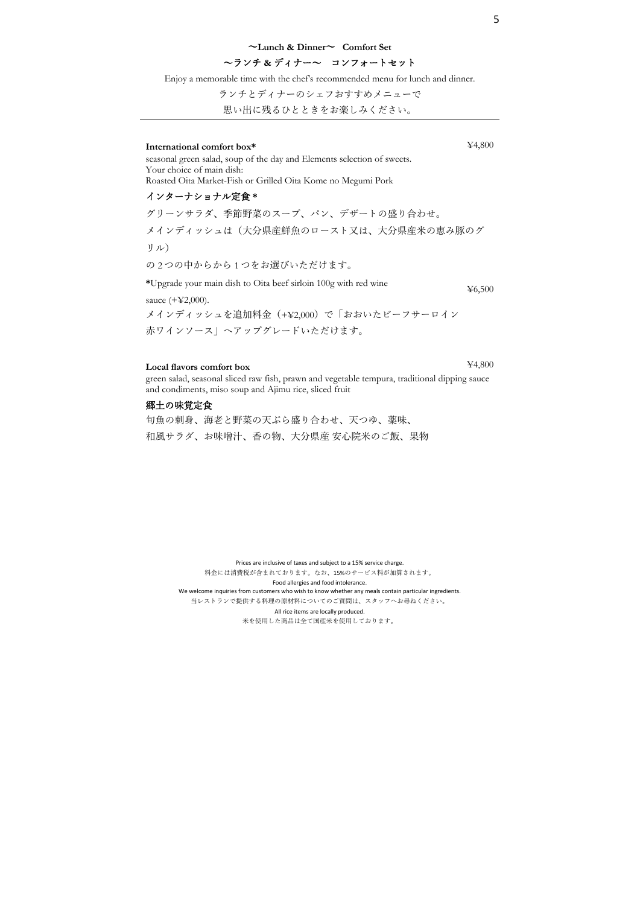#### 〜**Lunch & Dinner**〜 **Comfort Set**

## 〜ランチ **&** ディナー〜 コンフォートセット

Enjoy a memorable time with the chef's recommended menu for lunch and dinner.

ランチとディナーのシェフおすすめメニューで

思い出に残るひとときをお楽しみください。

### **International comfort box\*** ¥4,800

seasonal green salad, soup of the day and Elements selection of sweets. Your choice of main dish: Roasted Oita Market-Fish or Grilled Oita Kome no Megumi Pork

### インターナショナル定⾷ **\***

グリーンサラダ、季節野菜のスープ、パン、デザートの盛り合わせ。 メインディッシュは(大分県産鮮魚のロースト又は、大分県産米の恵み豚のグ リル) の2つの中からから1つをお選びいただけます。

**\***Upgrade your main dish to Oita beef sirloin 100g with red wine sauce (+¥2,000). ¥6,500

メインディッシュを追加料⾦(+¥2,000)で「おおいたビーフサーロイン ⾚ワインソース」へアップグレードいただけます。

## **Local flavors comfort box** ¥4,800

green salad, seasonal sliced raw fish, prawn and vegetable tempura, traditional dipping sauce and condiments, miso soup and Ajimu rice, sliced fruit

### 郷土の味覚定食

旬魚の刺身、海老と野菜の天ぷら盛り合わせ、天つゆ、薬味、 和風サラダ、お味噌汁、香の物、大分県産 安心院米のご飯、果物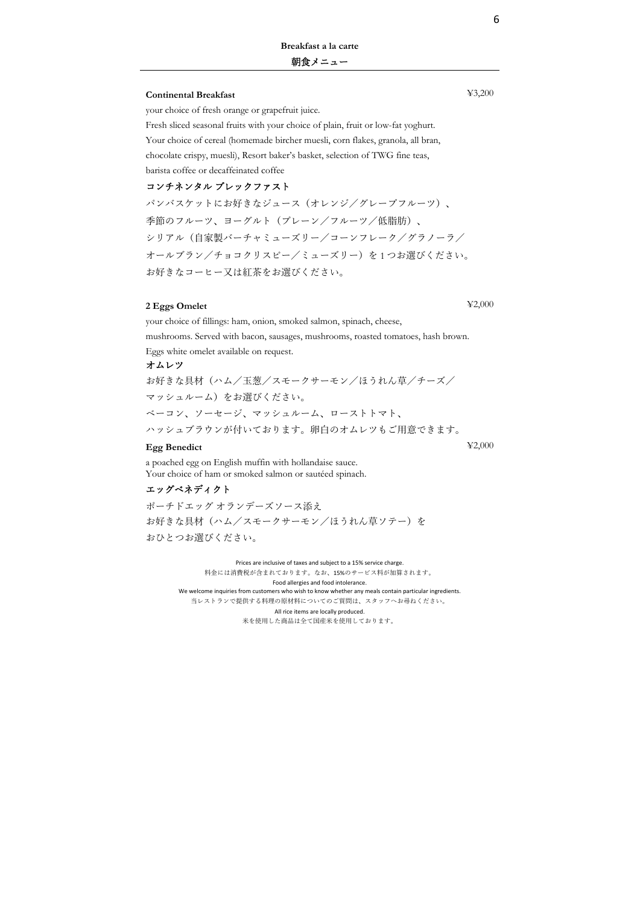# **Breakfast a la carte**

### 朝食メニュー

### **Continental Breakfast** ¥3,200

your choice of fresh orange or grapefruit juice.

Fresh sliced seasonal fruits with your choice of plain, fruit or low-fat yoghurt. Your choice of cereal (homemade bircher muesli, corn flakes, granola, all bran, chocolate crispy, muesli), Resort baker's basket, selection of TWG fine teas, barista coffee or decaffeinated coffee

## コンチネンタル ブレックファスト

パンバスケットにお好きなジュース(オレンジ/グレープフルーツ)、 季節のフルーツ、ヨーグルト(プレーン/フルーツ/低脂肪)、 シリアル(⾃家製バーチャミューズリー/コーンフレーク/グラノーラ/ オールブラン/チョコクリスピー/ミューズリー)を1つお選びください。 お好きなコーヒー⼜は紅茶をお選びください。

### **2 Eggs Omelet** ¥2,000

your choice of fillings: ham, onion, smoked salmon, spinach, cheese, mushrooms. Served with bacon, sausages, mushrooms, roasted tomatoes, hash brown.

Eggs white omelet available on request.

#### オムレツ

お好きな具材(ハム/⽟葱/スモークサーモン/ほうれん草/チーズ/ マッシュルーム)をお選びください。 ベーコン、ソーセージ、マッシュルーム、ローストトマト、 ハッシュブラウンが付いております。卵⽩のオムレツもご⽤意できます。

### **Egg Benedict** ¥2,000

a poached egg on English muffin with hollandaise sauce. Your choice of ham or smoked salmon or sautéed spinach.

### エッグベネディクト

ポーチドエッグ オランデーズソース添え お好きな具材(ハム/スモークサーモン/ほうれん草ソテー)を おひとつお選びください。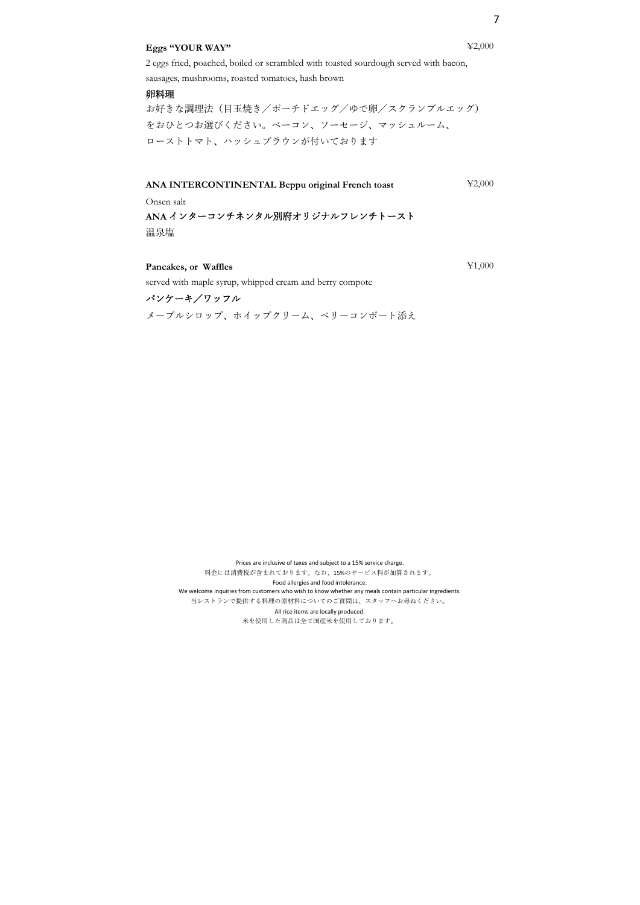### **Eggs "YOUR WAY"** ¥2,000

## 2 eggs fried, poached, boiled or scrambled with toasted sourdough served with bacon, sausages, mushrooms, roasted tomatoes, hash brown

#### 卵料理

お好きな調理法(⽬⽟焼き/ポーチドエッグ/ゆで卵/スクランブルエッグ) をおひとつお選びください。ベーコン、ソーセージ、マッシュルーム、 ローストトマト、ハッシュブラウンが付いております

**ANA INTERCONTINENTAL Beppu original French toast** ¥2,000

Onsen salt

**ANA** インターコンチネンタル別府オリジナルフレンチトースト 温泉塩

メープルシロップ、ホイップクリーム、ベリーコンポート添え

**Pancakes, or Waffles** ¥1,000

パンケーキ/ワッフル

served with maple syrup, whipped cream and berry compote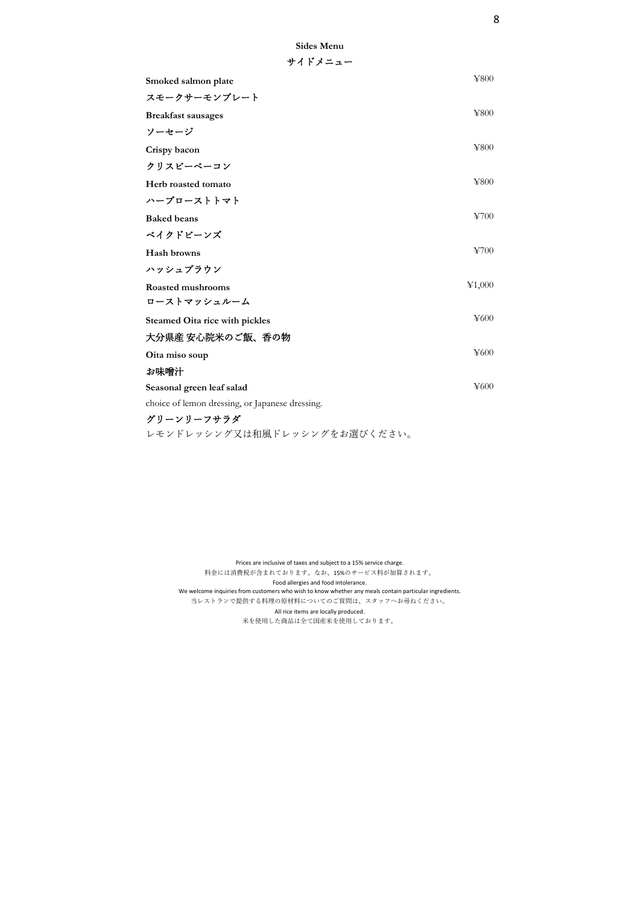| Sides Menu |  |
|------------|--|
| サイドメニュー    |  |

| Smoked salmon plate                             | ¥800   |
|-------------------------------------------------|--------|
|                                                 |        |
| スモークサーモンプレート                                    |        |
| <b>Breakfast sausages</b>                       | ¥800   |
| ソーセージ                                           |        |
| Crispy bacon                                    | ¥800   |
| クリスピーベーコン                                       |        |
| Herb roasted tomato                             | ¥800   |
| ハーブローストトマト                                      |        |
| <b>Baked</b> beans                              | 4700   |
| ベイクドビーンズ                                        |        |
| Hash browns                                     | 4700   |
| ハッシュブラウン                                        |        |
| Roasted mushrooms                               | ¥1,000 |
| ローストマッシュルーム                                     |        |
| Steamed Oita rice with pickles                  | ¥600   |
| 大分県産 安心院米のご飯、香の物                                |        |
| Oita miso soup                                  | ¥600   |
| お味噌汁                                            |        |
| Seasonal green leaf salad                       | ¥600   |
| choice of lemon dressing, or Japanese dressing. |        |
| グリーンリーフサラダ                                      |        |
| レモンドレッシング又は和風ドレッシングをお選びください。                    |        |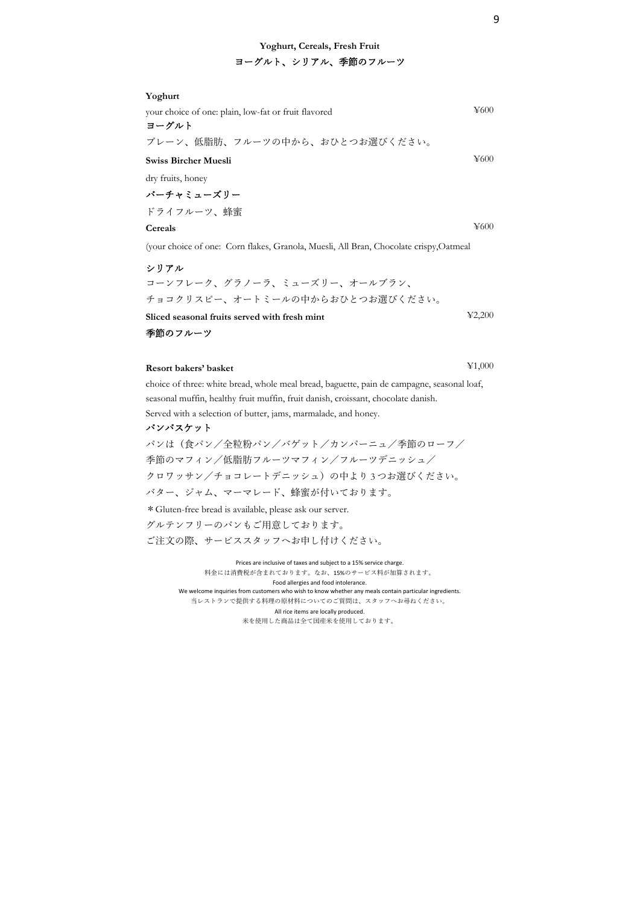## **Yoghurt, Cereals, Fresh Fruit** ヨーグルト、シリアル、季節のフルーツ

| Yoghurt                                                                                |           |
|----------------------------------------------------------------------------------------|-----------|
| your choice of one: plain, low-fat or fruit flavored                                   | $\yen600$ |
| ヨーグルト                                                                                  |           |
| プレーン、低脂肪、フルーツの中から、おひとつお選びください。                                                         |           |
| Swiss Bircher Muesli                                                                   | $\yen600$ |
| dry fruits, honey                                                                      |           |
| バーチャミューズリー                                                                             |           |
| ドライフルーツ、蜂蜜                                                                             |           |
| Cereals                                                                                | $\yen600$ |
| (your choice of one: Corn flakes, Granola, Muesli, All Bran, Chocolate crispy, Oatmeal |           |

シリアル

コーンフレーク、グラノーラ、ミューズリー、オールブラン、 チョコクリスピー、オートミールの中からおひとつお選びください。 **Sliced seasonal fruits served with fresh mint** ¥2,200 季節のフルーツ

## **Resort bakers' basket** ¥1,000

choice of three: white bread, whole meal bread, baguette, pain de campagne, seasonal loaf, seasonal muffin, healthy fruit muffin, fruit danish, croissant, chocolate danish. Served with a selection of butter, jams, marmalade, and honey. パンバスケット

パンは(食パン/全粒粉パン/バゲット/カンパーニュ/季節のローフ/ 季節のマフィン/低脂肪フルーツマフィン/フルーツデニッシュ/ クロワッサン/チョコレートデニッシュ)の中より 3 つお選びください。 バター、ジャム、マーマレード、蜂蜜が付いております。 \*Gluten-free bread is available, please ask our server. グルテンフリーのパンもご⽤意しております。 ご注文の際、サービススタッフへお申し付けください。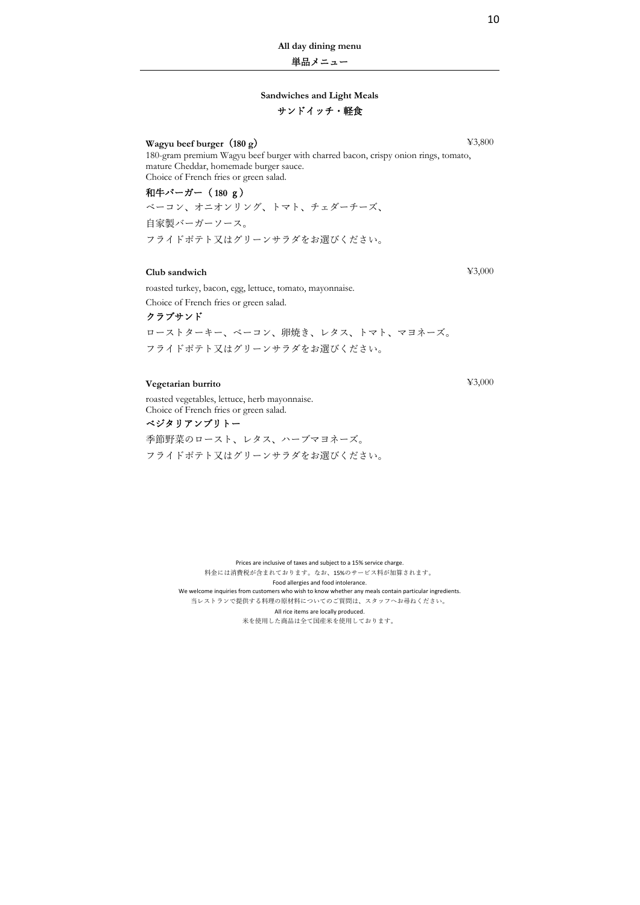**All day dining menu**

単品メニュー

### **Sandwiches and Light Meals**

## サンドイッチ・軽食

**Wagyu beef burger** (180 g)  $\qquad$  **¥3,800** 

180-gram premium Wagyu beef burger with charred bacon, crispy onion rings, tomato, mature Cheddar, homemade burger sauce. Choice of French fries or green salad.

和⽜バーガー( **180** g)

ベーコン、オニオンリング、トマト、チェダーチーズ、 ⾃家製バーガーソース。 フライドポテト⼜はグリーンサラダをお選びください。

## **Club sandwich** ¥3,000

roasted turkey, bacon, egg, lettuce, tomato, mayonnaise.

Choice of French fries or green salad.

クラブサンド

ローストターキー、ベーコン、卵焼き、レタス、トマト、マヨネーズ。 フライドポテト⼜はグリーンサラダをお選びください。

> Prices are inclusive of taxes and subject to a 15% service charge. 料⾦には消費税が含まれております。なお、15%のサービス料が加算されます。 Food allergies and food intolerance. We welcome inquiries from customers who wish to know whether any meals contain particular ingredients. 当レストランで提供する料理の原材料についてのご質問は、スタッフへお尋ねください。 All rice items are locally produced. 米を使用した商品は全て国産米を使用しております。

## **Vegetarian burrito** ¥3,000

roasted vegetables, lettuce, herb mayonnaise. Choice of French fries or green salad. ベジタリアンブリトー

季節野菜のロースト、レタス、ハーブマヨネーズ。 フライドポテト又はグリーンサラダをお選びください。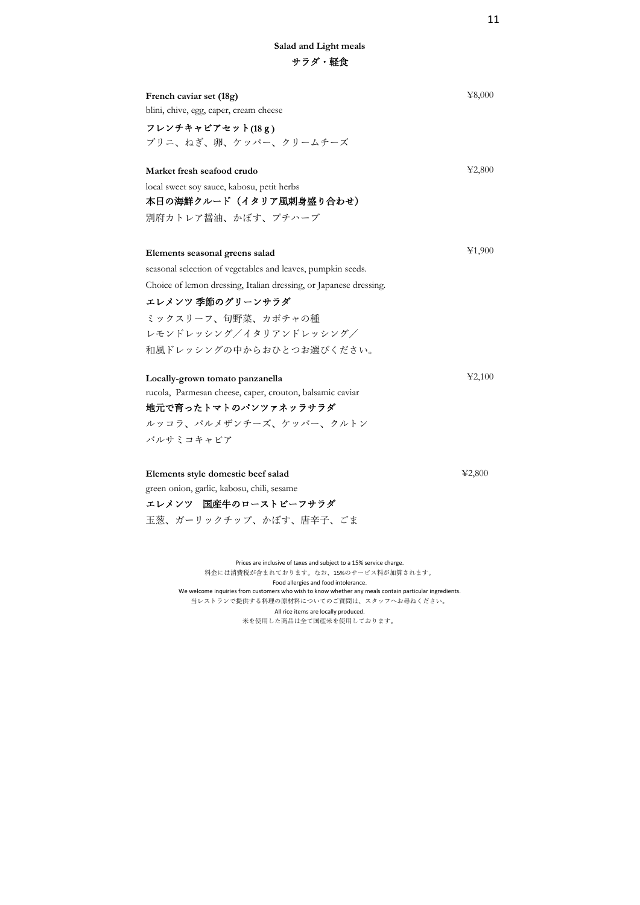| French caviar set (18g)<br>blini, chive, egg, caper, cream cheese<br>フレンチキャビアセット(18g)<br>ブリニ、ねぎ、卵、ケッパー、クリームチーズ                                                                                                                                                     | 48,000 |
|--------------------------------------------------------------------------------------------------------------------------------------------------------------------------------------------------------------------------------------------------------------------|--------|
| Market fresh seafood crudo<br>local sweet soy sauce, kabosu, petit herbs<br>本日の海鮮クルード(イタリア風刺身盛り合わせ)<br>別府カトレア醤油、かぼす、プチハーブ                                                                                                                                          | 42,800 |
| Elements seasonal greens salad<br>seasonal selection of vegetables and leaves, pumpkin seeds.<br>Choice of lemon dressing, Italian dressing, or Japanese dressing.<br>エレメンツ 季節のグリーンサラダ<br>ミックスリーフ、旬野菜、カボチャの種<br>レモンドレッシング/イタリアンドレッシング/<br>和風ドレッシングの中からおひとつお選びください。 | ¥1,900 |
| Locally-grown tomato panzanella<br>rucola, Parmesan cheese, caper, crouton, balsamic caviar<br>地元で育ったトマトのパンツァネッラサラダ<br>ルッコラ、パルメザンチーズ、ケッパー、クルトン<br>バルサミコキャビア                                                                                                        | 42,100 |
| Elements style domestic beef salad<br>green onion, garlic, kabosu, chili, sesame<br>エレメンツ 国産牛のローストビーフサラダ<br>玉葱、ガーリックチップ、かぼす、唐辛子、ごま                                                                                                                                 | 42,800 |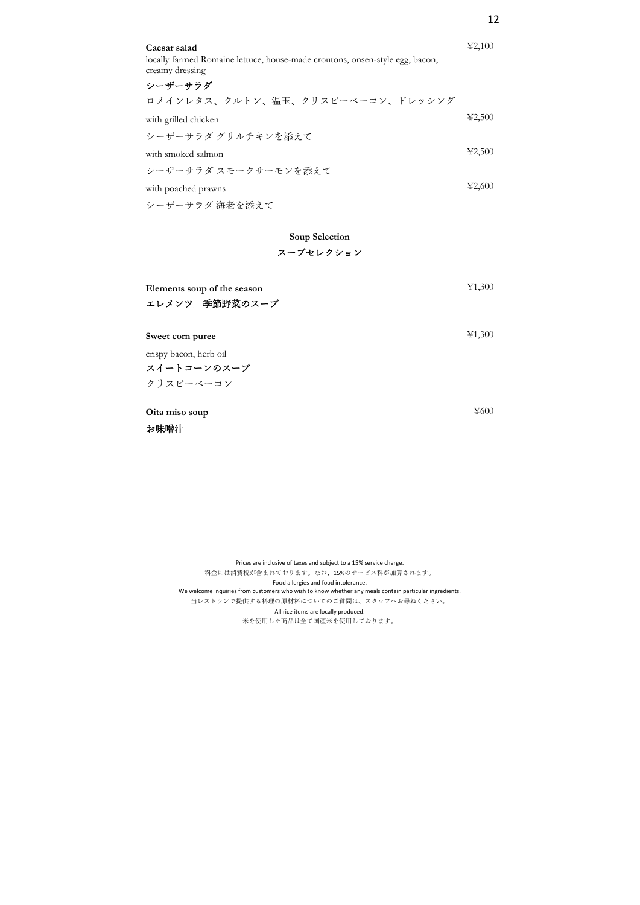| Caesar salad                                                                                    | 42,100                                              |
|-------------------------------------------------------------------------------------------------|-----------------------------------------------------|
| locally farmed Romaine lettuce, house-made croutons, onsen-style egg, bacon,<br>creamy dressing |                                                     |
| シーザーサラダ                                                                                         |                                                     |
| ロメインレタス、クルトン、温玉、クリスピーベーコン、ドレッシング                                                                |                                                     |
| with grilled chicken                                                                            | $\textcolor{blue}{\textbf{\text{Y}}}2,\!500$        |
| シーザーサラダ グリルチキンを添えて                                                                              |                                                     |
| with smoked salmon                                                                              | $\textcolor{blue}{\textbf{\text{Y}}}2,\!500$        |
| シーザーサラダ スモークサーモンを添えて                                                                            |                                                     |
| with poached prawns                                                                             | $\textcolor{blue}{\textbf{\text{Y2}},\textbf{600}}$ |
| シーザーサラダ 海老を添えて                                                                                  |                                                     |

## **Soup Selection** スープセレクション

| Elements soup of the season<br>エレメンツ 季節野菜のスープ | ¥1,300 |
|-----------------------------------------------|--------|
| Sweet corn puree                              | ¥1,300 |
| crispy bacon, herb oil                        |        |
| スイートコーンのスープ                                   |        |
| クリスピーベーコン                                     |        |
| Oita miso soup                                | ¥600   |
| お味噌汁                                          |        |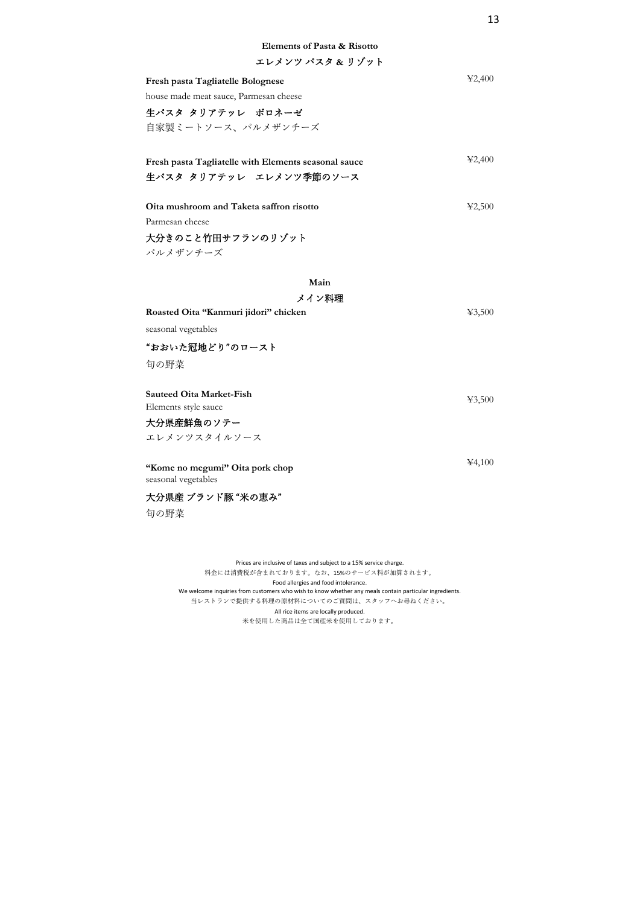| Fresh pasta Tagliatelle Bolognese                    | 42,400 |
|------------------------------------------------------|--------|
| house made meat sauce, Parmesan cheese               |        |
| 牛パスタ タリアテッレ ボロネーゼ                                    |        |
| 自家製ミートソース、パルメザンチーズ                                   |        |
|                                                      |        |
| Fresh pasta Tagliatelle with Elements seasonal sauce | 42,400 |
| 生パスタ タリアテッレ エレメンツ季節のソース                              |        |
|                                                      |        |
| Oita mushroom and Taketa saffron risotto             | 42,500 |
| Parmesan cheese                                      |        |
| 大分きのこと竹田サフランのリゾット                                    |        |
| パルメザンチーズ                                             |        |
|                                                      |        |
| Main                                                 |        |
| メイン料理                                                |        |
| Roasted Oita "Kanmuri jidori" chicken                | 43,500 |
| seasonal vegetables                                  |        |
| "おおいた冠地どり"のロースト                                      |        |
| 旬の野菜                                                 |        |
|                                                      |        |
| <b>Sauteed Oita Market-Fish</b>                      | 43,500 |
| Elements style sauce                                 |        |
| 大分県産鮮魚のソテー                                           |        |
| エレメンツスタイルソース                                         |        |
|                                                      | 44,100 |
| "Kome no megumi" Oita pork chop                      |        |
| seasonal vegetables                                  |        |
| 大分県産 ブランド豚 "米の恵み"                                    |        |

旬の野菜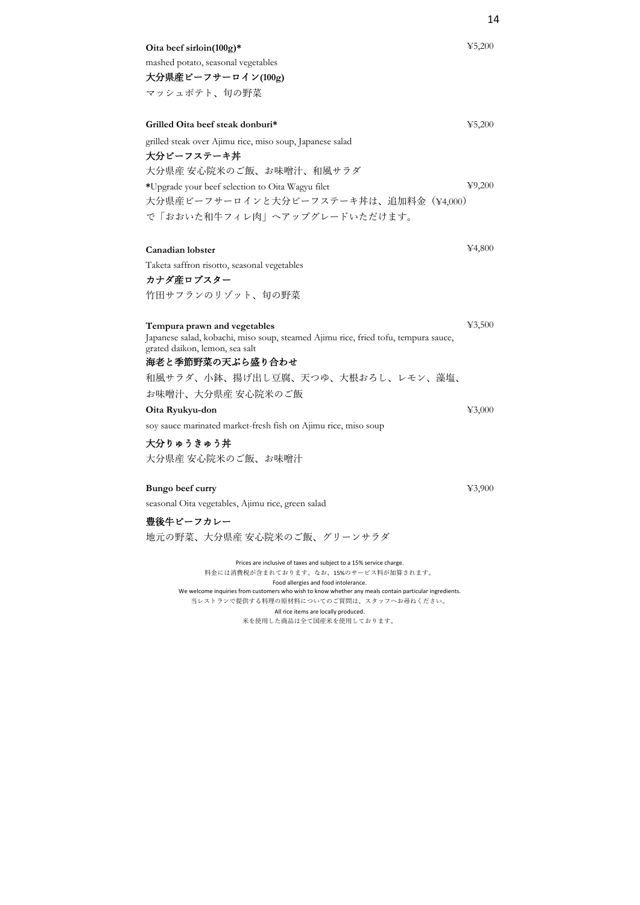| Oita beef sirloin $(100g)^*$                                                       | 45,200 |
|------------------------------------------------------------------------------------|--------|
| mashed potato, seasonal vegetables                                                 |        |
| 大分県産ビーフサーロイン(100g)                                                                 |        |
| マッシュポテト、旬の野菜                                                                       |        |
| Grilled Oita beef steak donburi*                                                   | 45,200 |
| grilled steak over Ajimu rice, miso soup, Japanese salad                           |        |
| 大分ビーフステーキ丼                                                                         |        |
| 大分県産 安心院米のご飯、お味噌汁、和風サラダ                                                            |        |
| *Upgrade your beef selection to Oita Wagyu filet                                   | 49,200 |
| 大分県産ビーフサーロインと大分ビーフステーキ丼は、追加料金 (¥4,000)                                             |        |
| で「おおいた和牛フィレ肉」へアップグレードいただけます。                                                       |        |
| Canadian lobster                                                                   | ¥4,800 |
|                                                                                    |        |
| Taketa saffron risotto, seasonal vegetables<br>カナダ産ロブスター                           |        |
| 竹田サフランのリゾット、旬の野菜                                                                   |        |
|                                                                                    |        |
| Tempura prawn and vegetables                                                       | 43,500 |
| Japanese salad, kobachi, miso soup, steamed Ajimu rice, fried tofu, tempura sauce, |        |
| grated daikon, lemon, sea salt                                                     |        |
| 海老と季節野菜の天ぷら盛り合わせ                                                                   |        |
| 和風サラダ、小鉢、揚げ出し豆腐、天つゆ、大根おろし、レモン、藻塩、                                                  |        |
| お味噌汁、大分県産 安心院米のご飯                                                                  |        |
| Oita Ryukyu-don                                                                    | 43,000 |
| soy sauce marinated market-fresh fish on Ajimu rice, miso soup                     |        |
| 大分りゅうきゅう丼                                                                          |        |
| 大分県産 安心院米のご飯、お味噌汁                                                                  |        |
| Bungo beef curry                                                                   | 43,900 |
| seasonal Oita vegetables, Ajimu rice, green salad                                  |        |
| 豊後牛ビーフカレー                                                                          |        |
| 地元の野菜、大分県産 安心院米のご飯、グリーンサラダ                                                         |        |
| Prices are inclusive of taxes and subject to a 15% service charge.                 |        |

料金には消費税が含まれております。なお、15%のサービス料が加算されます。 Food allergies and food intolerance. We welcome inquiries from customers who wish to know whether any meals contain particular ingredients. 当レストランで提供する料理の原材料についてのご質問は、スタッフへお尋ねください。 All rice items are locally produced. 米を使用した商品は全て国産米を使用しております。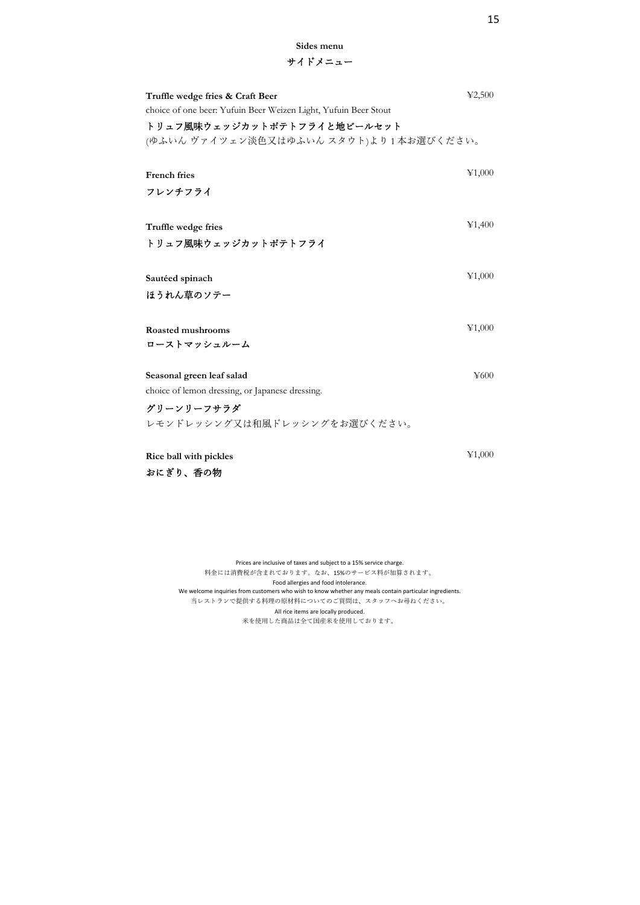## **Sides menu** サイドメニュー

| Truffle wedge fries & Craft Beer<br>choice of one beer: Yufuin Beer Weizen Light, Yufuin Beer Stout | 42,500    |
|-----------------------------------------------------------------------------------------------------|-----------|
| トリュフ風味ウェッジカットポテトフライと地ビールセット                                                                         |           |
| (ゆふいん ヴァイツェン淡色又はゆふいん スタウト)より1本お選びください。                                                              |           |
|                                                                                                     |           |
| <b>French fries</b>                                                                                 | ¥1,000    |
| フレンチフライ                                                                                             |           |
|                                                                                                     |           |
| Truffle wedge fries                                                                                 | ¥1,400    |
| トリュフ風味ウェッジカットポテトフライ                                                                                 |           |
|                                                                                                     |           |
| Sautéed spinach                                                                                     | ¥1,000    |
| ほうれん草のソテー                                                                                           |           |
|                                                                                                     |           |
| <b>Roasted mushrooms</b>                                                                            | ¥1,000    |
| ローストマッシュルーム                                                                                         |           |
|                                                                                                     |           |
| Seasonal green leaf salad                                                                           | $\yen600$ |
| choice of lemon dressing, or Japanese dressing.                                                     |           |
| グリーンリーフサラダ                                                                                          |           |
| レモンドレッシング又は和風ドレッシングをお選びください。                                                                        |           |
|                                                                                                     |           |
| Rice ball with pickles                                                                              | ¥1,000    |
| おにぎり、香の物                                                                                            |           |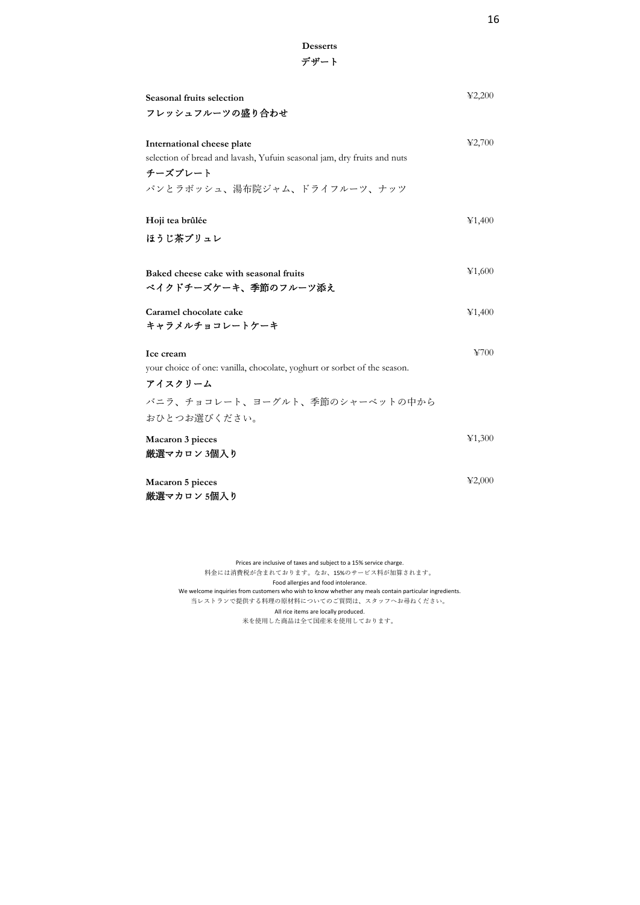| Seasonal fruits selection<br>フレッシュフルーツの盛り合わせ                                                                                                       | 42,200 |
|----------------------------------------------------------------------------------------------------------------------------------------------------|--------|
| International cheese plate<br>selection of bread and lavash, Yufuin seasonal jam, dry fruits and nuts<br>チーズプレート<br>パンとラボッシュ、湯布院ジャム、ドライフルーツ、ナッツ    | 42,700 |
| Hoji tea brûlée<br>ほうじ茶ブリュレ                                                                                                                        | ¥1,400 |
| Baked cheese cake with seasonal fruits<br>ベイクドチーズケーキ、季節のフルーツ添え                                                                                     | ¥1,600 |
| Caramel chocolate cake<br>キャラメルチョコレートケーキ                                                                                                           | ¥1,400 |
| Ice cream<br>your choice of one: vanilla, chocolate, yoghurt or sorbet of the season.<br>アイスクリーム<br>バニラ、チョコレート、ヨーグルト、季節のシャーベットの中から<br>おひとつお選びください。 | ¥700   |
| Macaron 3 pieces<br>厳選マカロン 3個入り                                                                                                                    | ¥1,300 |
| Macaron 5 pieces<br>厳選マカロン 5個入り                                                                                                                    | 42,000 |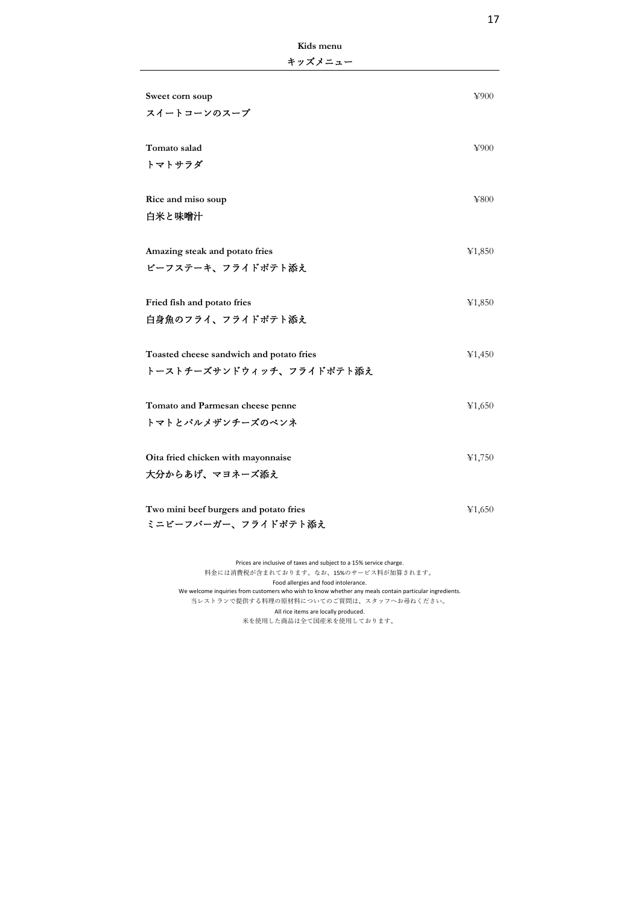| キッズメニュー                                  |            |
|------------------------------------------|------------|
| Sweet corn soup                          | ¥900       |
| スイートコーンのスープ                              |            |
| Tomato salad                             | ¥900       |
| トマトサラダ                                   |            |
| Rice and miso soup                       | $\yen$ 800 |
| 白米と味噌汁                                   |            |
| Amazing steak and potato fries           | 41,850     |
| ビーフステーキ、フライドポテト添え                        |            |
| Fried fish and potato fries              | ¥1,850     |
| 白身魚のフライ、フライドポテト添え                        |            |
| Toasted cheese sandwich and potato fries | ¥1,450     |
| トーストチーズサンドウィッチ、フライドポテト添え                 |            |
| Tomato and Parmesan cheese penne         | ¥1,650     |
| トマトとパルメザンチーズのペンネ                         |            |
| Oita fried chicken with mayonnaise       | ¥1,750     |
| 大分からあげ、マヨネーズ添え                           |            |
| Two mini beef burgers and potato fries   | ¥1,650     |
| ミニビーフバーガー、フライドポテト添え                      |            |

**Kids menu**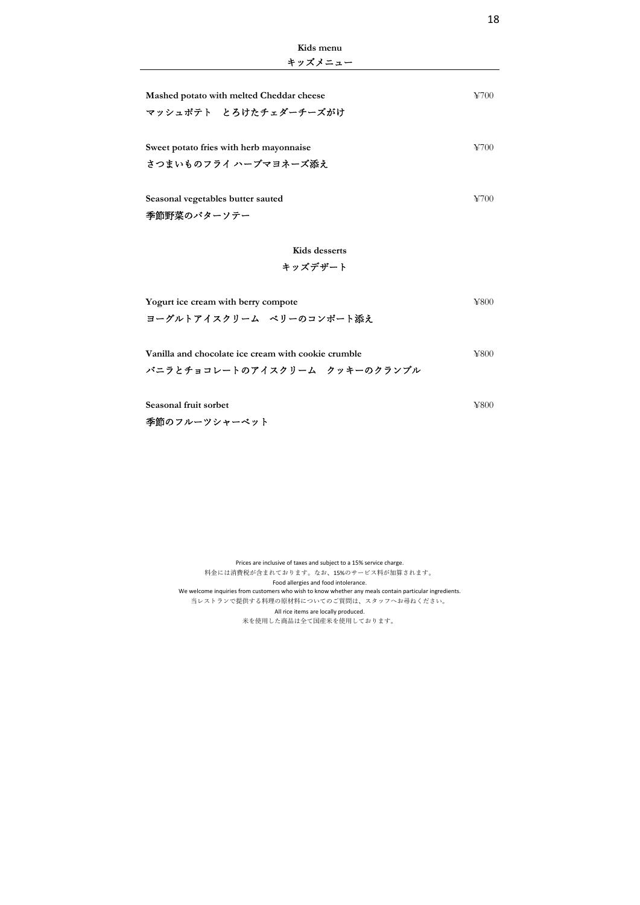| キッズメニュー                                                         |                      |  |
|-----------------------------------------------------------------|----------------------|--|
| Mashed potato with melted Cheddar cheese                        | ¥700-                |  |
| マッシュポテト とろけたチェダーチーズがけ                                           |                      |  |
| Sweet potato fries with herb mayonnaise<br>さつまいものフライ ハーブマヨネーズ添え | ¥700                 |  |
| Seasonal vegetables butter sauted                               | $\frac{1}{2}$ (1)(1) |  |

**Kids menu**

季節野菜のバターソテー

## **Kids desserts** キッズデザート

| Yogurt ice cream with berry compote                 | ¥800. |
|-----------------------------------------------------|-------|
| ヨーグルトアイスクリーム ベリーのコンポート添え                            |       |
| Vanilla and chocolate ice cream with cookie crumble | ¥800  |

| vanina and chocolate ice cream with cookie crumble |  |  |  |
|----------------------------------------------------|--|--|--|
| バニラとチョコレートのアイスクリーム クッキーのクランブル                      |  |  |  |

**Seasonal fruit sorbet** ¥800

季節のフルーツシャーベット

Prices are inclusive of taxes and subject to a 15% service charge. 料金には消費税が含まれております。なお、15%のサービス料が加算されます。 Food allergies and food intolerance. We welcome inquiries from customers who wish to know whether any meals contain particular ingredients. 当レストランで提供する料理の原材料についてのご質問は、スタッフへお尋ねください。 All rice items are locally produced. 米を使用した商品は全て国産米を使用しております。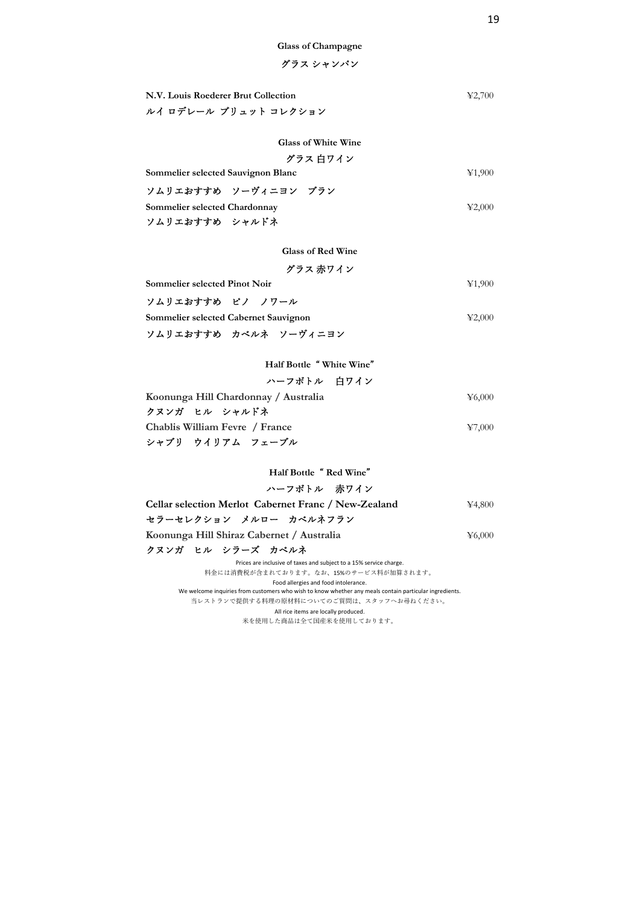**Glass of Champagne**

## グラス シャンパン

| N.V. Louis Roederer Brut Collection | $\textcolor{blue}{\textbf{\text{Y}}}2.700$ |
|-------------------------------------|--------------------------------------------|
| ルイ ロデレール ブリュット コレクション               |                                            |

## **Glass of White Wine**

グラス ⽩ワイン

**Sommelier selected Sauvignon Blanc** ¥1,900

| ソムリエおすすめ ソーヴィニヨン ブラン          |  |                               |
|-------------------------------|--|-------------------------------|
| Sommelier selected Chardonnay |  | $\textcolor{blue}{\geq}2.000$ |
| ソムリエおすすめ シャルドネ                |  |                               |

**Glass of Red Wine**

グラス ⾚ワイン

**Sommelier selected Pinot Noir ¥1,900** 

| ソムリエおすすめ ピノ ノワール                      |  |                                            |
|---------------------------------------|--|--------------------------------------------|
| Sommelier selected Cabernet Sauvignon |  | $\textcolor{blue}{\textbf{\text{Y}}}2.000$ |
| ソムリエおすすめ カベルネ ソーヴィニヨン                 |  |                                            |

**Half Bottle** " **White Wine**"

| ハーフボトル 白ワイン                          |                           |
|--------------------------------------|---------------------------|
| Koonunga Hill Chardonnay / Australia | $\text{\textless}\,6.000$ |
| クヌンガ ヒル シャルドネ                        |                           |
| Chablis William Fevre / France       | ¥7,000                    |
| シャブリ ウイリアム フェーブル                     |                           |

**Half Bottle** " **Red Wine**"

## ハーフボトル ⾚ワイン

| <b>Cellar selection Merlot Cabernet Franc / New-Zealand</b>                                            | ¥4,800 |
|--------------------------------------------------------------------------------------------------------|--------|
| セラーセレクション メルロー カベルネフラン                                                                                 |        |
| Koonunga Hill Shiraz Cabernet / Australia                                                              | ¥6,000 |
| クヌンガ ヒル シラーズ カベルネ                                                                                      |        |
| Prices are inclusive of taxes and subject to a 15% service charge.                                     |        |
| 料金には消費税が含まれております。なお、15%のサービス料が加算されます。                                                                  |        |
| Food allergies and food intolerance.                                                                   |        |
| We welcome inquiries from customers who wish to know whether any meals contain particular ingredients. |        |

当レストランで提供する料理の原材料についてのご質問は、スタッフへお尋ねください。 All rice items are locally produced.

米を使用した商品は全て国産米を使用しております。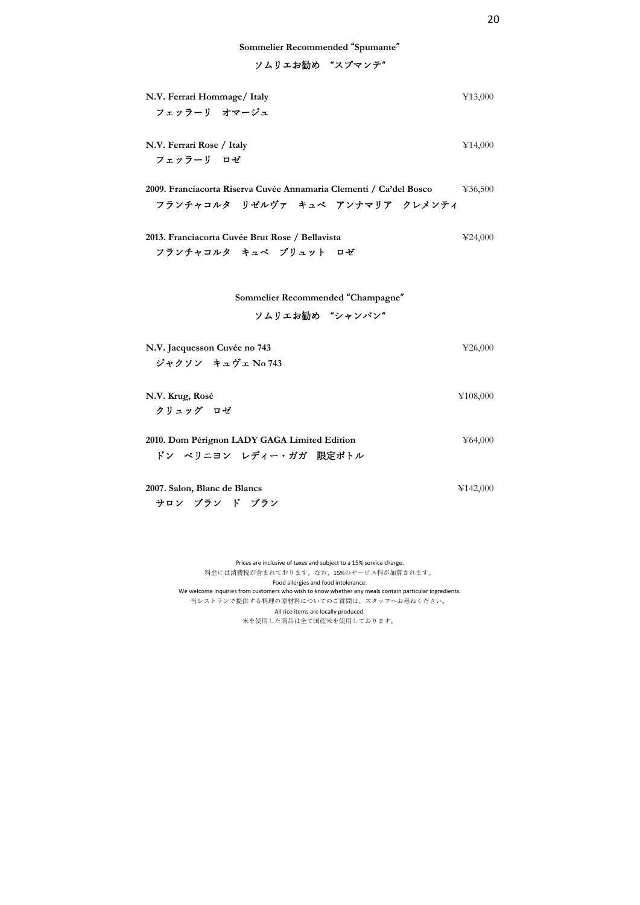**Sommelier Recommended** "**Spumante**"

ソムリエお勧め "スプマンテ"

| N.V. Ferrari Hommage/ Italy<br>フェッラーリ オマージュ                                                            | ¥13,000  |
|--------------------------------------------------------------------------------------------------------|----------|
| N.V. Ferrari Rose / Italy<br>フェッラーリ ロゼ                                                                 | ¥14,000  |
| 2009. Franciacorta Riserva Cuvée Annamaria Clementi / Ca'del Bosco<br>フランチャコルターリゼルヴァ キュベ アンナマリア クレメンティ | 436,500  |
| 2013. Franciacorta Cuvée Brut Rose / Bellavista<br>フランチャコルタ キュベ ブリュット ロゼ                               | 424,000  |
| Sommelier Recommended "Champagne"<br>ソムリエお勧め "シャンパン"                                                   |          |
| N.V. Jacquesson Cuvée no 743<br>ジャクソン キュヴェ No 743                                                      | ¥26,000  |
| N.V. Krug, Rosé<br>クリュッグ ロゼ                                                                            | ¥108,000 |
| 2010. Dom Pérignon LADY GAGA Limited Edition                                                           | ¥64,000  |

ドン ペリニヨン レディー・ガガ 限定ボトル

**2007. Salon, Blanc de Blancs** ¥142,000 サロン ブラン ド ブラン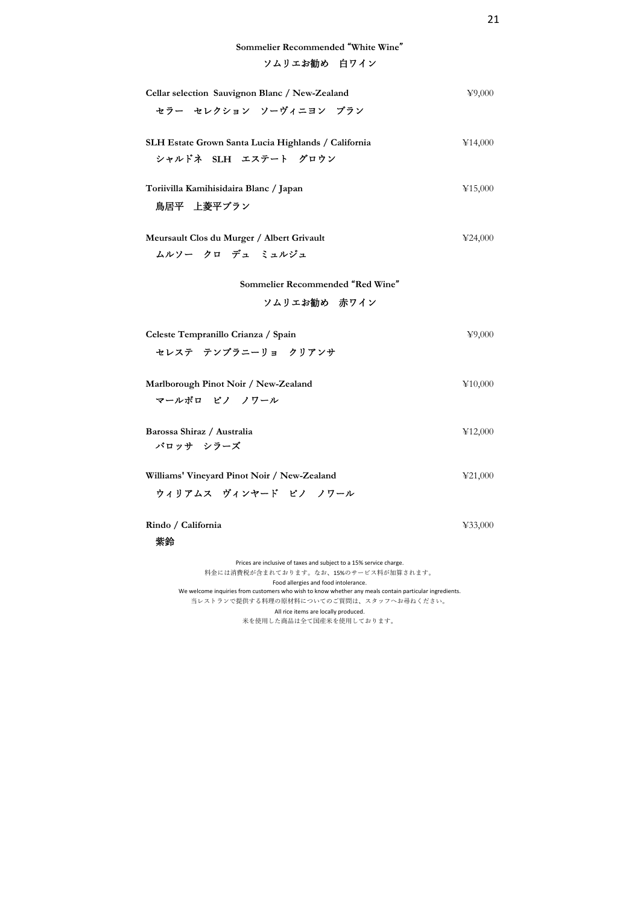ソムリエお勧め 白ワイン

| Cellar selection Sauvignon Blanc / New-Zealand                                                                                                 | 49,000  |
|------------------------------------------------------------------------------------------------------------------------------------------------|---------|
| セラー セレクション ソーヴィニヨン ブラン                                                                                                                         |         |
| SLH Estate Grown Santa Lucia Highlands / California                                                                                            | ¥14,000 |
| シャルドネ SLH エステート グロウン                                                                                                                           |         |
| Toriivilla Kamihisidaira Blanc / Japan                                                                                                         | ¥15,000 |
| 鳥居平 上菱平ブラン                                                                                                                                     |         |
| Meursault Clos du Murger / Albert Grivault                                                                                                     | 424,000 |
| ムルソー クロ デュ ミュルジュ                                                                                                                               |         |
| Sommelier Recommended "Red Wine"                                                                                                               |         |
| ソムリエお勧め 赤ワイン                                                                                                                                   |         |
| Celeste Tempranillo Crianza / Spain                                                                                                            | 49,000  |
| セレステ テンプラニーリョ クリアンサ                                                                                                                            |         |
| Marlborough Pinot Noir / New-Zealand                                                                                                           | ¥10,000 |
| マールボロ ピノ ノワール                                                                                                                                  |         |
| Barossa Shiraz / Australia                                                                                                                     | ¥12,000 |
| バロッサ シラーズ                                                                                                                                      |         |
| Williams' Vineyard Pinot Noir / New-Zealand                                                                                                    | 421,000 |
| ウィリアムス ヴィンヤード ピノ ノワール                                                                                                                          |         |
| Rindo / California                                                                                                                             | ¥33,000 |
| 紫鈴                                                                                                                                             |         |
| Prices are inclusive of taxes and subject to a 15% service charge.<br>料金には消費税が含まれております。なお、15%のサービス料が加算されます。                                    |         |
| Food allergies and food intolerance.<br>We welcome inquiries from customers who wish to know whether any meals contain particular ingredients. |         |

当レストランで提供する料理の原材料についてのご質問は、スタッフへお尋ねください。

All rice items are locally produced.

米を使用した商品は全て国産米を使用しております。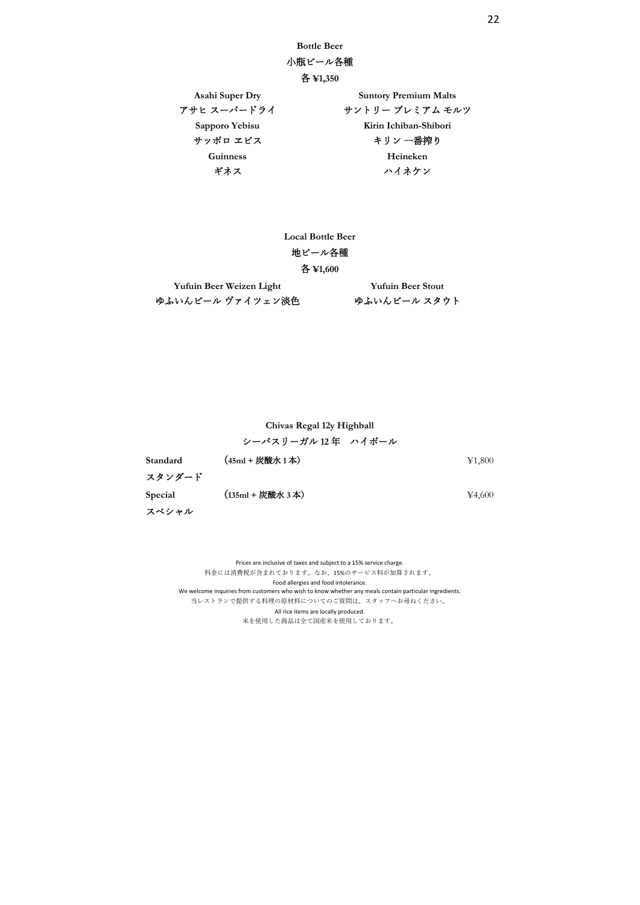**Bottle Beer**

## ⼩瓶ビール各種

```
各 ¥1,350
```
Asahi Super Dry Suntory Premium Malts アサヒ スーパードライ しゅうのう サントリー プレミアム モルツ **Sapporo Yebisu Kirin Ichiban-Shibori** サッポロ ヱビス おんじゃ キリン 一番搾り **Guinness Heineken** ギネス ファイネケン

**Local Bottle Beer**

## 地ビール各種

## 各 **¥1,600**

**Yufuin Beer Weizen Light Yufuin Beer Stout** ゆふいんビール ヴァイツェン淡色 ゆふいんビール スタウト

## **Chivas Regal 12y Highball** シーバスリーガル **12** 年 ハイボール

**Standard** (**45ml +** 炭酸⽔ **1** 本) ¥1,800 スタンダード **Special** (135ml + 炭酸水 3 本) **¥4,600** スペシャル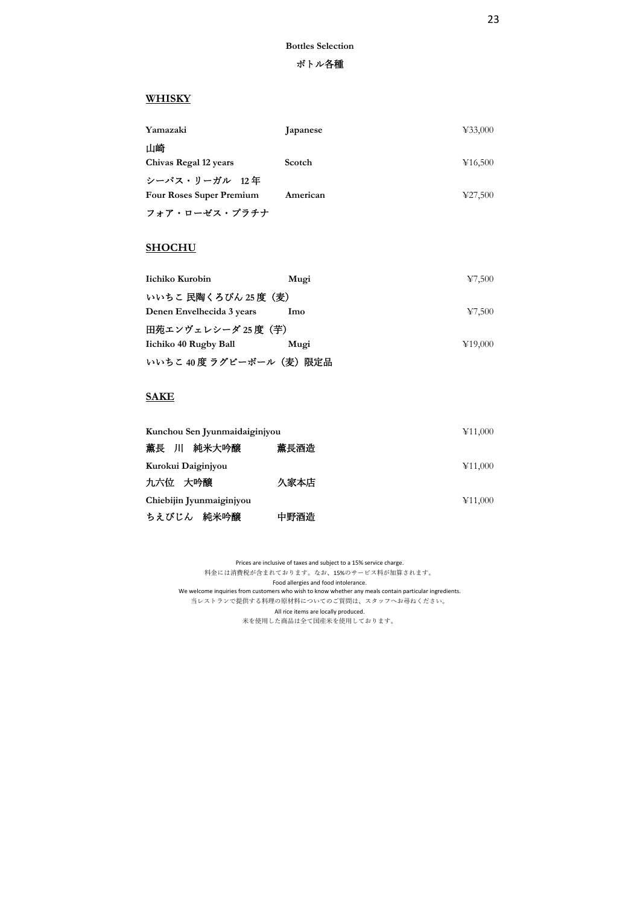### ボトル各種

## **WHISKY**

| Yamazaki                        | <b>J</b> apanese | 433,000 |
|---------------------------------|------------------|---------|
| 山崎                              |                  |         |
| Chivas Regal 12 years           | Scotch           | ¥16,500 |
| シーバス・リーガル 12年                   |                  |         |
| <b>Four Roses Super Premium</b> | American         | ¥27,500 |
| フォア・ローゼス・プラチナ                   |                  |         |

## **SHOCHU**

| Iichiko Kurobin           | Mugi | 47,500                              |
|---------------------------|------|-------------------------------------|
| いいちこ 民陶くろびん 25 度(麦)       |      |                                     |
| Denen Envelhecida 3 years | lmo  | $\textcolor{blue}{\textbf{47.500}}$ |
| 田苑エンヴェレシーダ 25 度(芋)        |      |                                     |
| Iichiko 40 Rugby Ball     | Mugi | ¥19,000                             |
| いいちこ 40 度 ラグビーボール(麦)限定品   |      |                                     |

## **SAKE**

| Kunchou Sen Jyunmaidaiginjyou |      | ¥11,000 |
|-------------------------------|------|---------|
| 薫長 川 純米大吟醸                    | 薫長酒造 |         |
| Kurokui Daiginjyou            |      | ¥11,000 |
| 九六位 大吟醸                       | 久家本店 |         |
| Chiebijin Jyunmaiginjyou      |      | ¥11,000 |
| ちえびじん 純米吟醸                    | 中野酒造 |         |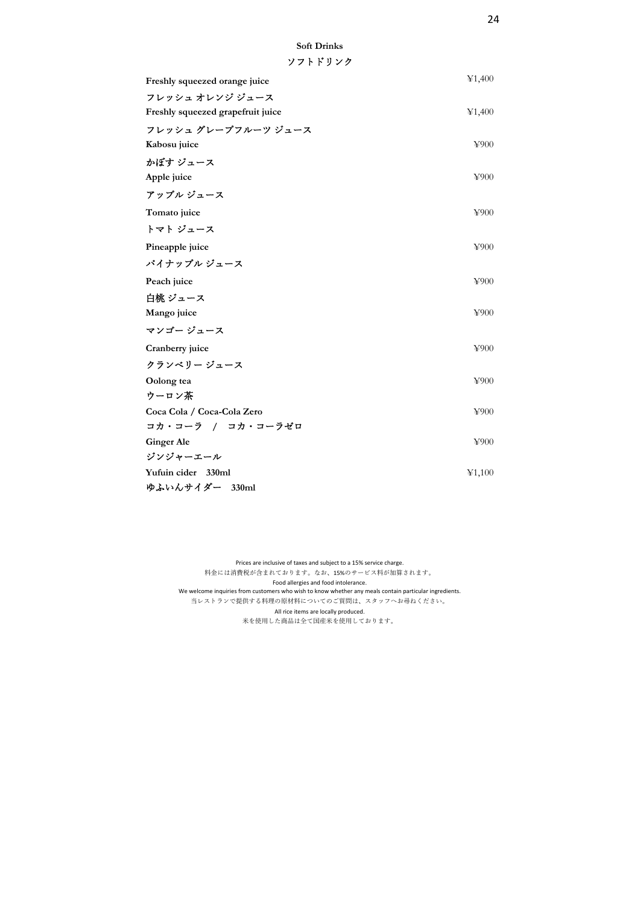| Freshly squeezed orange juice     | ¥1,400 |
|-----------------------------------|--------|
| フレッシュ オレンジ ジュース                   |        |
| Freshly squeezed grapefruit juice | ¥1,400 |
| フレッシュ グレープフルーツ ジュース               |        |
| Kabosu juice                      | ¥900   |
| かぼす ジュース                          |        |
| Apple juice                       | ¥900   |
| アップル ジュース                         |        |
| Tomato juice                      | ¥900   |
| トマト ジュース                          |        |
| Pineapple juice                   | ¥900   |
| パイナップル ジュース                       |        |
| Peach juice                       | ¥900   |
| 白桃 ジュース                           |        |
| Mango juice                       | ¥900   |
| マンゴー ジュース                         |        |
| Cranberry juice                   | ¥900   |
| クランベリー ジュース                       |        |
| Oolong tea                        | ¥900   |
| ウーロン茶                             |        |
| Coca Cola / Coca-Cola Zero        | ¥900   |
| コカ・コーラ / コカ・コーラゼロ                 |        |
| <b>Ginger Ale</b>                 | ¥900   |
| ジンジャーエール                          |        |
| Yufuin cider 330ml                | ¥1,100 |
| ゆふいんサイダー 330ml                    |        |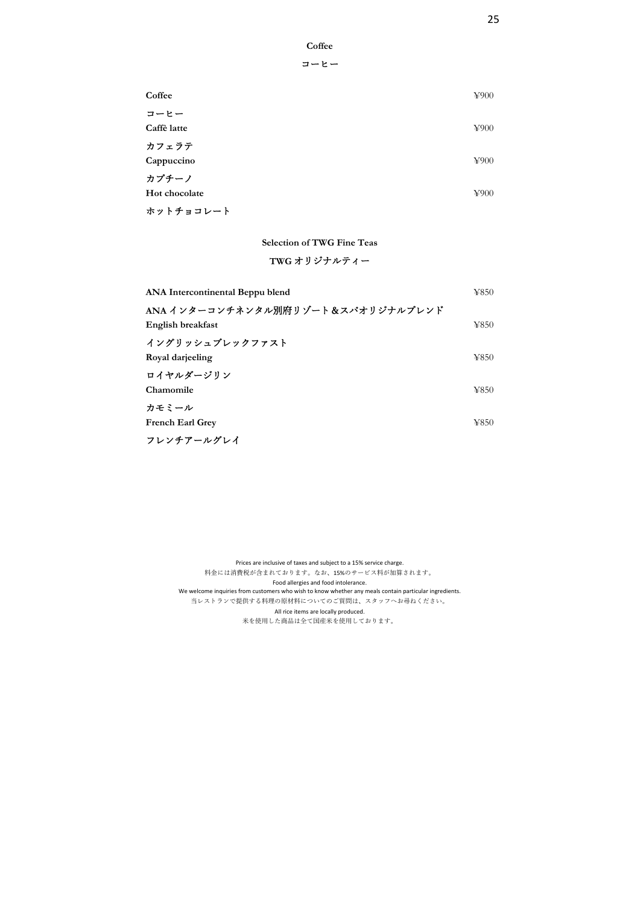| ∩ttı<br>r |
|-----------|
|-----------|

| Coffee        | ¥900 |
|---------------|------|
| コーヒー          |      |
| Caffè latte   | ¥900 |
| カフェラテ         |      |
| Cappuccino    | ¥900 |
| カプチーノ         |      |
| Hot chocolate | ¥900 |
| ホットチョコレート     |      |

**Selection of TWG Fine Teas**

## **TWG** オリジナルティー

| ANA Intercontinental Beppu blend  | ¥850 |
|-----------------------------------|------|
| ANA インターコンチネンタル別府リゾート&スパオリジナルブレンド |      |
| English breakfast                 | ¥850 |
| イングリッシュブレックファスト                   |      |
| Royal darjeeling                  | ¥850 |
| ロイヤルダージリン                         |      |
| Chamomile                         | ¥850 |
| カモミール                             |      |
| French Earl Grev                  | ¥850 |
| フレンチアールグレイ                        |      |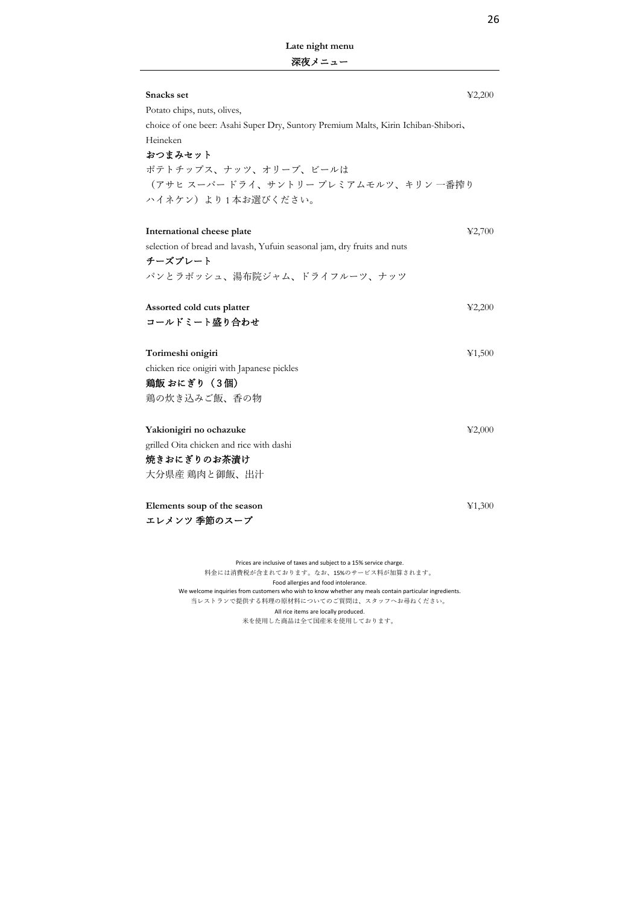**Late night menu** 深夜メニュー

| Snacks set                                                                         | $\textcolor{blue}{42,200}$ |
|------------------------------------------------------------------------------------|----------------------------|
| Potato chips, nuts, olives,                                                        |                            |
| choice of one beer: Asahi Super Dry, Suntory Premium Malts, Kirin Ichiban-Shibori, |                            |
| Heineken                                                                           |                            |
| おつまみセット                                                                            |                            |
| ポテトチップス、ナッツ、オリーブ、ビールは                                                              |                            |
| (アサヒ スーパードライ、サントリー プレミアムモルツ、キリン 一番搾り                                               |                            |
| ハイネケン) より1本お選びください。                                                                |                            |
|                                                                                    |                            |
| International cheese plate                                                         | 42,700                     |
| selection of bread and lavash, Yufuin seasonal jam, dry fruits and nuts            |                            |
| チーズプレート                                                                            |                            |
| パンとラボッシュ、湯布院ジャム、ドライフルーツ、ナッツ                                                        |                            |
|                                                                                    |                            |
| Assorted cold cuts platter                                                         | 42,200                     |
| コールドミート盛り合わせ                                                                       |                            |
|                                                                                    |                            |
| Torimeshi onigiri                                                                  | ¥1,500                     |
| chicken rice onigiri with Japanese pickles                                         |                            |
| 鶏飯 おにぎり (3個)                                                                       |                            |
| 鶏の炊き込みご飯、香の物                                                                       |                            |
|                                                                                    |                            |
| Yakionigiri no ochazuke                                                            | 42,000                     |
| grilled Oita chicken and rice with dashi                                           |                            |
| 焼きおにぎりのお茶漬け                                                                        |                            |
| 大分県産 鶏肉と御飯、出汁                                                                      |                            |
|                                                                                    |                            |
| Elements soup of the season                                                        | ¥1,300                     |
| エレメンツ 季節のスープ                                                                       |                            |
|                                                                                    |                            |